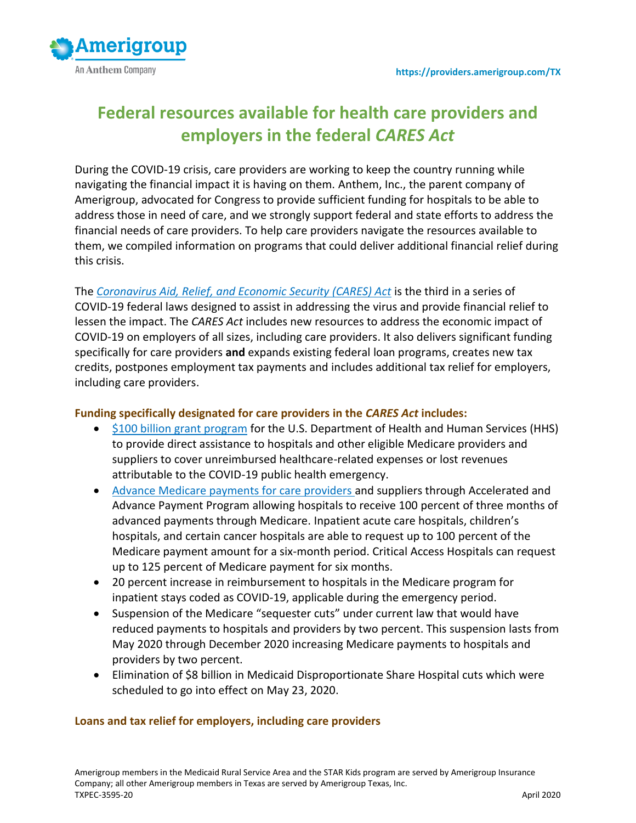

# **Federal resources available for health care providers and employers in the federal** *CARES Act*

During the COVID-19 crisis, care providers are working to keep the country running while navigating the financial impact it is having on them. Anthem, Inc., the parent company of Amerigroup, advocated for Congress to provide sufficient funding for hospitals to be able to address those in need of care, and we strongly support federal and state efforts to address the financial needs of care providers. To help care providers navigate the resources available to them, we compiled information on programs that could deliver additional financial relief during this crisis.

The *Coronavirus Aid, Relief, [and Economic Security \(CARES\) Act](https://www.congress.gov/116/bills/hr748/BILLS-116hr748enr.pdf)* is the third in a series of COVID-19 federal laws designed to assist in addressing the virus and provide financial relief to lessen the impact. The *CARES Act* includes new resources to address the economic impact of COVID-19 on employers of all sizes, including care providers. It also delivers significant funding specifically for care providers **and** expands existing federal loan programs, creates new tax credits, postpones employment tax payments and includes additional tax relief for employers, including care providers.

#### **Funding specifically designated for care providers in the** *CARES Act* **includes:**

- [\\$100 billion grant program](https://www.hhs.gov/provider-relief/index.html) for the U.S. Department of Health and Human Services (HHS) to provide direct assistance to hospitals and other eligible Medicare providers and suppliers to cover unreimbursed healthcare-related expenses or lost revenues attributable to the COVID-19 public health emergency.
- [Advance Medicare payments for care providers](https://www.cms.gov/newsroom/press-releases/cms-approves-approximately-34-billion-providers-acceleratedadvance-payment-program-medicare) and suppliers through Accelerated and Advance Payment Program allowing hospitals to receive 100 percent of three months of advanced payments through Medicare. Inpatient acute care hospitals, children's hospitals, and certain cancer hospitals are able to request up to 100 percent of the Medicare payment amount for a six-month period. Critical Access Hospitals can request up to 125 percent of Medicare payment for six months.
- 20 percent increase in reimbursement to hospitals in the Medicare program for inpatient stays coded as COVID-19, applicable during the emergency period.
- Suspension of the Medicare "sequester cuts" under current law that would have reduced payments to hospitals and providers by two percent. This suspension lasts from May 2020 through December 2020 increasing Medicare payments to hospitals and providers by two percent.
- Elimination of \$8 billion in Medicaid Disproportionate Share Hospital cuts which were scheduled to go into effect on May 23, 2020.

#### **Loans and tax relief for employers, including care providers**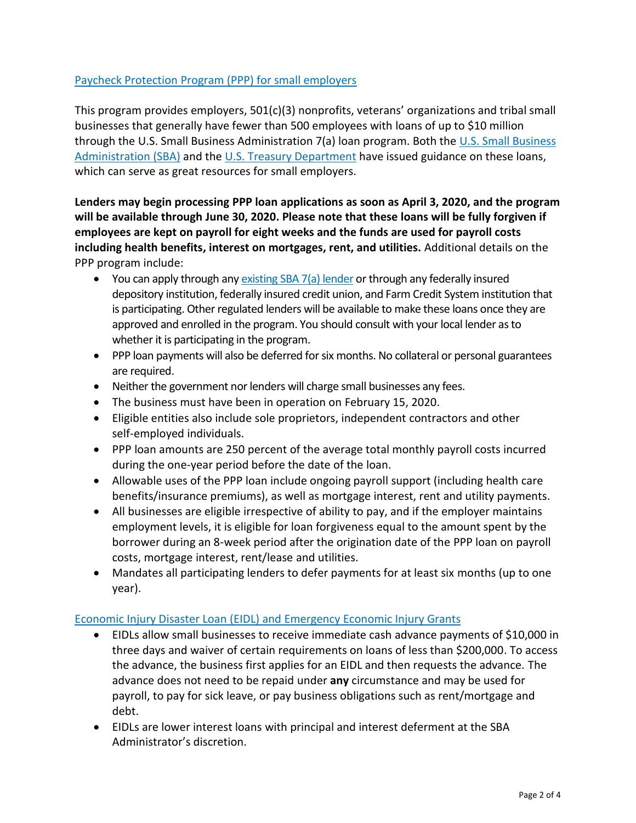# Paycheck Protection Program [\(PPP\) for small employers](https://www.sba.gov/funding-programs/loans/paycheck-protection-program-ppp)

This program provides employers,  $501(c)(3)$  nonprofits, veterans' organizations and tribal small businesses that generally have fewer than 500 employees with loans of up to \$10 million through the [U.S. Small Business](https://content.sba.gov/sites/default/files/2020-04/PPP--IFRN%20FINAL.pdf) Administration 7(a) loan program. Both the U.S. Small Business [Administration](https://content.sba.gov/sites/default/files/2020-04/PPP--IFRN%20FINAL.pdf) (SBA) and the [U.S. Treasury](https://home.treasury.gov/policy-issues/top-priorities/cares-act/assistance-for-small-businesses) Department have issued guidance on these loans, which can serve as great resources for small employers.

**Lenders may begin processing PPP loan applications as soon as April 3, 2020, and the program will be available through June 30, 2020. Please note that these loans will be fully forgiven if employees are kept on payroll for eight weeks and the funds are used for payroll costs including health benefits, interest on mortgages, rent, and utilities.** Additional details on the PPP program include:

- You can apply through an[y existing SBA 7\(a\) lender](https://www.sba.gov/paycheckprotection/find) or through any federally insured depository institution, federally insured credit union, and Farm Credit System institution that is participating. Other regulated lenders will be available to make these loans once they are approved and enrolled in the program. You should consult with your local lender as to whether it is participating in the program.
- PPP loan payments will also be deferred for six months. No collateral or personal guarantees are required.
- Neither the government nor lenders will charge small businesses any fees.
- The business must have been in operation on February 15, 2020.
- Eligible entities also include sole proprietors, independent contractors and other self-employed individuals.
- PPP loan amounts are 250 percent of the average total monthly payroll costs incurred during the one-year period before the date of the loan.
- Allowable uses of the PPP loan include ongoing payroll support (including health care benefits/insurance premiums), as well as mortgage interest, rent and utility payments.
- All businesses are eligible irrespective of ability to pay, and if the employer maintains employment levels, it is eligible for loan forgiveness equal to the amount spent by the borrower during an 8-week period after the origination date of the PPP loan on payroll costs, mortgage interest, rent/lease and utilities.
- Mandates all participating lenders to defer payments for at least six months (up to one year).

# Economic Injury Disaster Loan (EIDL) and [Emergency Economic Injury Grants](https://www.sba.gov/funding-programs/loans/coronavirus-relief-options/economic-injury-disaster-loan-emergency-advance)

- EIDLs allow small businesses to receive immediate cash advance payments of \$10,000 in three days and waiver of certain requirements on loans of less than \$200,000. To access the advance, the business first applies for an EIDL and then requests the advance. The advance does not need to be repaid under **any** circumstance and may be used for payroll, to pay for sick leave, or pay business obligations such as rent/mortgage and debt.
- EIDLs are lower interest loans with principal and interest deferment at the SBA Administrator's discretion.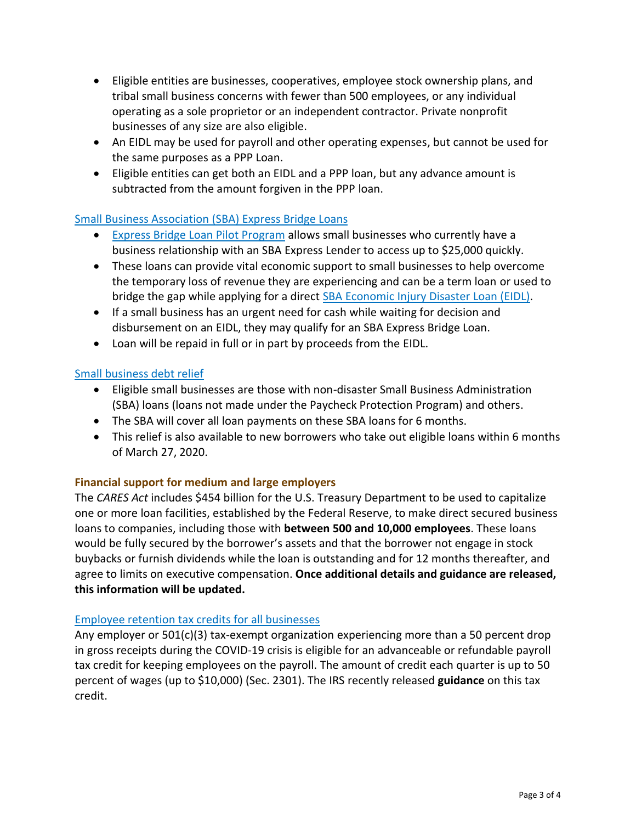- Eligible entities are businesses, cooperatives, employee stock ownership plans, and tribal small business concerns with fewer than 500 employees, or any individual operating as a sole proprietor or an independent contractor. Private nonprofit businesses of any size are also eligible.
- An EIDL may be used for payroll and other operating expenses, but cannot be used for the same purposes as a PPP Loan.
- Eligible entities can get both an EIDL and a PPP loan, but any advance amount is subtracted from the amount forgiven in the PPP loan.

# [Small Business Association \(SBA\)](https://www.sba.gov/funding-programs/loans/coronavirus-relief-options/sba-express-bridge-loans) Express Bridge Loans

- [Express Bridge Loan Pilot Program](https://www.sba.gov/document/support--express-bridge-loan-pilot-program-guide) allows small businesses who currently have a business relationship with an SBA Express Lender to access up to \$25,000 quickly.
- These loans can provide vital economic support to small businesses to help overcome the temporary loss of revenue they are experiencing and can be a term loan or used to bridge the gap while applying for a direct **[SBA Economic Injury Disaster Loan](http://www.sba.gov/disaster) (EIDL)**.
- If a small business has an urgent need for cash while waiting for decision and disbursement on an EIDL, they may qualify for an SBA Express Bridge Loan.
- Loan will be repaid in full or in part by proceeds from the EIDL.

#### [Small business debt relief](https://www.sba.gov/funding-programs/loans/coronavirus-relief-options/sba-debt-relief)

- Eligible small businesses are those with non-disaster Small Business Administration (SBA) loans (loans not made under the Paycheck Protection Program) and others.
- The SBA will cover all loan payments on these SBA loans for 6 months.
- This relief is also available to new borrowers who take out eligible loans within 6 months of March 27, 2020.

#### **Financial support for medium and large employers**

The *CARES Act* includes \$454 billion for the U.S. Treasury Department to be used to capitalize one or more loan facilities, established by the Federal Reserve, to make direct secured business loans to companies, including those with **between 500 and 10,000 employees**. These loans would be fully secured by the borrower's assets and that the borrower not engage in stock buybacks or furnish dividends while the loan is outstanding and for 12 months thereafter, and agree to limits on executive compensation. **Once additional details and guidance are released, this information will be updated.** 

#### [Employee retention tax credits for all businesses](https://www.irs.gov/newsroom/irs-employee-retention-credit-available-for-many-businesses-financially-impacted-by-covid-19)

Any employer or  $501(c)(3)$  tax-exempt organization experiencing more than a 50 percent drop in gross receipts during the COVID-19 crisis is eligible for an advanceable or refundable payroll tax credit for keeping employees on the payroll. The amount of credit each quarter is up to 50 percent of wages (up to \$10,000) (Sec. 2301). The IRS recently released **[guidance](https://www.irs.gov/newsroom/irs-employee-retention-credit-available-for-many-businesses-financially-impacted-by-covid-19)** on this tax credit.